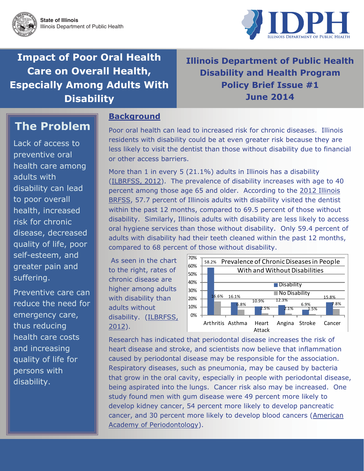

**Impact of Poor Oral Health Care on Overall Health, Especially Among Adults With Disability** 

## **Illinois Department of Public Health Disability and Health Program Policy Brief Issue #1 June 2014**

# **The Problem**

Lack of access to preventive oral health care among adults with disability can lead to poor overall health, increased risk for chronic disease, decreased quality of life, poor self-esteem, and greater pain and suffering.

Preventive care can reduce the need for emergency care, thus reducing health care costs and increasing quality of life for persons with disability.

#### **Background**

Poor oral health can lead to increased risk for chronic diseases. Illinois residents with disability could be at even greater risk because they are less likely to visit the dentist than those without disability due to financial or other access barriers.

More than 1 in every 5 (21.1%) adults in Illinois has a disability ([ILBRFSS, 2012](http://www.idph.state.il.us/idhp/2012DataReport.pdf)). The prevalence of disability increases with age to 40 percent among those age 65 and older. According to the [2012 Illinois](http://www.idph.state.il.us/idhp/2012DataReport.pdf)  [BRFSS](http://www.idph.state.il.us/idhp/2012DataReport.pdf), 57.7 percent of Illinois adults with disability visited the dentist within the past 12 months, compared to 69.5 percent of those without disability. Similarly, Illinois adults with disability are less likely to access oral hygiene services than those without disability. Only 59.4 percent of adults with disability had their teeth cleaned within the past 12 months, compared to 68 percent of those without disability.

 As seen in the chart to the right, rates of chronic disease are higher among adults with disability than adults without disability. ([ILBRFSS,](http://www.idph.state.il.us/idhp/2012DataReport.pdf)  [2012](http://www.idph.state.il.us/idhp/2012DataReport.pdf)).



Research has indicated that periodontal disease increases the risk of heart disease and stroke, and scientists now believe that inflammation caused by periodontal disease may be responsible for the association. Respiratory diseases, such as pneumonia, may be caused by bacteria that grow in the oral cavity, especially in people with periodontal disease, being aspirated into the lungs. Cancer risk also may be increased. One study found men with gum disease were 49 percent more likely to develop kidney cancer, 54 percent more likely to develop pancreatic cancer, and 30 percent more likely to develop blood cancers [\(American](http://www.perio.org/consumer/other-diseases)  [Academy of Periodontology](http://www.perio.org/consumer/other-diseases)).